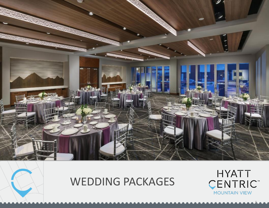

# WEDDING PACKAGES



1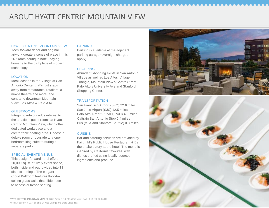# ABOUT HYATT CENTRIC MOUNTAIN VIEW

### HYATT CENTRIC MOUNTAIN VIEW

Tech -forward décor and original artwork create a sense of place in this 167 -room boutique hotel, paying homage to the birthplace of modern technology.

### **LOCATION**

Ideal location in the Village at San Antonio Center that's just steps away from restaurants, retailers, a movie theatre and more, and central to downtown Mountain View, Los Altos & Palo Alto.

### GUESTROOMS

Intriguing artwork adds interest to the spacious guest rooms at Hyatt Centric Mountain View, which offer dedicated workspace and a comfortable seating area. Choose a deluxe room or upgrade to a one bedroom king suite featuring a separate parlor.

#### SPECIAL EVENTS VENUE

This design -forward hotel offers 10,000 sq. ft. of lively event space, both inside and out, divided into 11 distinct settings. The elegant Cloud Ballroom features floor -to ceiling glass walls that slide open to access al fresco seating.

### PARKING

Parking is available at the adjacent parking garage (overnight charges apply).

#### **SHOPPING**

Abundant shopping exists in San Antonio Village as well as Los Altos' Village Triangle, Mountain View's Castro Street, Palo Alto's University Ave and Stanford Shopping Center.

### TRANSPORTATION

San Francisco Airport (SFO) 22.6 miles San Jose Airport (SJC) 12.5 miles Palo Alto Airport (KPAO, PAO) 4.8 miles Caltrain San Antonio Stop 0.4 miles Bus (VTA and Stanford Shuttle) 0.3 miles

### **CUISINE**

Bar and catering services are provided by Fairchild's Public House Restaurant & Bar, the onsite eatery at the hotel. The menu is inspired by California favorites, with dishes crafted using locally -sourced ingredients and produce.



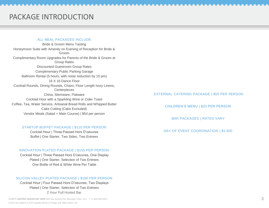# PACKAGE INTRODUCTION

### ALL MEAL PACKAGES INCLUDE

Bride & Groom Menu Tasting Honeymoon Suite with Amenity on Evening of Reception for Bride & Groom Complimentary Room Upgrades for Parents of the Bride & Groom at Group Rates Discounted Guestroom Group Rates Complimentary Public Parking Garage Ballroom Rental (5 hours, with noise reduction by 10 pm) 16 X 16 Dance Floor Cocktail Rounds, Dining Rounds, Chairs, Floor Length Ivory Linens, **Centerpieces** China, Stemware, Flatware Cocktail Hour with a Sparkling Wine or Cider Toast Coffee, Tea, Water Service, Artisanal Bread Rolls and Whipped Butter Cake Cutting (Cake Excluded) Vendor Meals (Salad + Main Course) | \$54 per person

### STARTUP BUFFET PACKAGE | \$110 PER PERSON

Cocktail Hour | Three Passed Hors D'oeuvres Buffet | One Starter, Two Sides, Two Entrees

### INNOVATION PLATED PACKAGE | \$155 PER PERSON

Cocktail Hour | Three Passed Hors D'oeuvres, One Display Plated | One Starter, Selection of Two Entrees One Bottle of Red & White Wine Per Table

### SILICON VALLEY PLATED PACKAGE | \$190 PER PERSON

Cocktail Hour | Four Passed Hors D'oeuvres, Two Displays Plated | One Starter, Selection of Two Entrees 2 Hour Full Hosted Bar

EXTERNAL CATERING PACKAGE | \$55 PER PERSON

CHILDREN'S MENU | \$23 PER PERSON

BAR PACKAGES | RATES VARY

DAY OF EVENT COORDINATION | \$1,500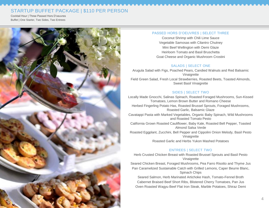# STARTUP BUFFET PACKAGE | \$110 PER PERSON

Cocktail Hour | Three Passed Hors D'oeuvres Buffet | One Starter, Two Sides, Two Entrees



### PASSED HORS D'OEUVRES | SELECT THREE

Coconut Shrimp with Chili Lime Sauce Vegetable Samosas with Cilantro Chutney Mini Beef Wellington with Demi Glaze Heirloom Tomato and Basil Bruschetta Goat Cheese and Organic Mushroom Crostini

### SALADS | SELECT ONE

Arugula Salad with Figs, Poached Pears, Candied Walnuts and Red Balsamic Vinaigrette Field Green Salad, Fresh Local Strawberries, Roasted Beets, Toasted Almonds, Sweet Basil Vinaigrette

## SIDES | SELECT TWO

Locally Made Gnocchi, Salinas Spinach, Roasted Foraged Mushrooms, Sun-Kissed Tomatoes, Lemon Brown Butter and Romano Cheese Herbed Fingerling Potato Has, Roasted Brussel Sprouts, Foraged Mushrooms, Roasted Garlic, Balsamic Glaze Cavatappi Pasta with Marked Vegetables, Organic Baby Spinach, Wild Mushrooms and Roasted Tomato Pesto California Grown Roasted Cauliflower, Baby Kale, Roasted Bell Pepper, Toasted Almond Salsa Verde Roasted Eggplant, Zucchini, Bell Pepper and Cippolini Onion Melody, Basil Pesto Vinaigrette Roasted Garlic and Herbs Yukon Mashed Potatoes

# ENTREES | SELECT TWO

Herb Crusted Chicken Breast with Roasted Brussel Sprouts and Basil Pesto Vinaigrette

Seared Chicken Breast, Foraged Mushrooms, Pea Farro Risotto and Thyme Jus Pan Caramelized Sustainable Catch with Grilled Lemons, Caper Beurre Blanc, Spinach Chips

Seared Salmon, Herb Marinated Artichoke Hash, Tomato-Fennel Broth Cabernet Braised Beef Short Ribs, Blistered Cherry Tomatoes, Pan Jus Oven Roasted Wagyu Beef Flat Iron Steak, Marble Potatoes, Shiraz Demi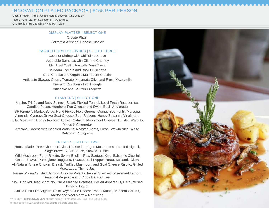# INNOVATION PLATED PACKAGE | \$155 PER PERSON

Cocktail Hour | Three Passed Hors D'oeuvres, One Display Plated | One Starter, Selection of Two Entrees One Bottle of Red & White Wine Per Table

### DISPLAY PLATTER | SELECT ONE

Crudité Plater California Artisanal Cheese Display

### PASSED HORS D'OEUVRES | SELECT THREE

Coconut Shrimp with Chili Lime Sauce Vegetable Samosas with Cilantro Chutney Mini Beef Wellington with Demi Glaze Heirloom Tomato and Basil Bruschetta Goat Cheese and Organic Mushroom Crostini Antipasto Skewer, Cherry Tomato, Kalamata Olive and Fresh Mozzarella Brie and Raspberry Filo Triangle Artichoke and Boursin Croquette

### STARTERS | SELECT ONE

Mache, Frisée and Baby Spinach Salad, Pickled Fennel, Local Fresh Raspberries, Candied Pecan, Humboldt Fog Cheese and Sweet Basil Vinaigrette SF Farmer's Market Salad, Hand Picked Field Greens, Orange Segments, Marcona Almonds, Cypress Grove Goat Cheese, Beet Ribbons, Honey -Balsamic Vinaigrette Lolla Rossa with Honey Roasted Apples, Midnight Moon Goat Cheese, Toasted Walnuts, Minus 8 Vinaigrette

Artisanal Greens with Candied Walnuts, Roasted Beets, Fresh Strawberries, White Balsamic Vinaigrette

# ENTREES | SELECT TWO

House Made Three Cheese Ravioli, Roasted Foraged Mushrooms, Toasted Pignoli, Sage -Brown Butter Sauce, Shaved Truffles Wild Mushroom Farro Risotto, Sweet English Pea, Sauteed Kale, Balsamic Cipollini Onion, Shaved Parmigiano Reggiano, Roasted Bell Pepper Puree, Balsamic Glaze All -Natural Airline Chicken Breast, Truffled Mushroom and Goat Cheese Risotto, Grilled Asparagus, Thyme Jus Fennel Pollen Crusted Salmon, Creamy Polenta, Fennel Slaw with Preserved Lemon, Seasonal Vegetable and Citrus Beurre Blanc

Slow Cooked Beef Short Rib, Chive Mashed Potatoes, Grilled Asparagus, Herb -Infused Braising Liquor

Grilled Petit Filet Mignon, Point Reyes Blue Cheese Potato Mash, Heirloom Carrots, Merlot and Veal Marrow Reduction

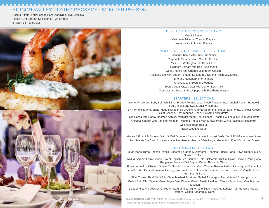# SILICON VALLEY PLATED PACKAGE | \$190 PER PERSON

Cocktail Hour | Four Passed Hors D'oeuvres, Two Displays Plated | One Starter, Selection of Two Entrees 2 Hour Full Hosted Bar



### DISPLAY PLATTERS | SELECT TWO

Crudité Plater California Artisanal Cheese Display Napa Valley Antipasto Display

#### PASSED HORS D'OEUVRES | SELECT THREE

Coconut Shrimp with Chili Lime Sauce Vegetable Samosas with Cilantro Chutney Mini Beef Wellington with Demi Glaze Heirloom Tomato and Basil Bruschetta Goat Cheese and Organic Mushroom Crostini Antipasto Skewer, Cherry Tomato, Kalamata Olive and Fresh Mozzarella Brie and Raspberry Filo Triangle Artichoke and Boursin Croquette Seared Local Crab Cakes with Lemon Basil Aioli Dijon Mustard Rub Lamb Lollipops with Blackberry Gastric

### STARTERS | SELECT ONE

Mache, Frisée and Baby Spinach Salad, Pickled Fennel, Local Fresh Raspberries, Candied Pecan, Humboldt Fog Cheese and Sweet Basil Vinaigrette SF Farmer's Market Salad, Hand Picked Field Greens, Orange Segments, Marcona Almonds, Cypress Grove Goat Cheese, Beet Ribbons, Honey-Balsamic Vinaigrette Lolla Rossa with Honey Roasted Apples, Midnight Moon Goat Cheese, Toasted Walnuts, Minus 8 Vinaigrette Artisanal Greens with Candied Walnuts, Roasted Beets, Fresh Strawberries, White Balsamic Vinaigrette Wild Mushroom Bisque Italian Wedding Soup

*\*Braised Short Rib Tortellaci with Grilled Trumpet Mushrooms and Roasted Garlic Demi \$5 Additional per Guest \*Pan Seared Scallops, Asparagus and Pea Risotto, Roasted Bell Pepper Reduction \$5 Additional per Guest*

### ENTREES | SELECT TWO

House Made Three Cheese Ravioli, Roasted Foraged Mushrooms, Toasted Pignoli, Sage-Brown Butter Sauce, Shaved Truffles

Wild Mushroom Farro Risotto, Sweet English Pea, Sauteed Kale, Balsamic Cipollini Onion, Shaved Parmigiano Reggiano, Roasted Bell Pepper Puree, Balsamic Glaze

All-Natural Airline Chicken Breast, Truffled Mushroom and Goat Cheese Risotto, Grilled Asparagus, Thyme Jus Fennel Pollen Crusted Salmon, Creamy Polenta, Fennel Slaw with Preserved Lemon, Seasonal Vegetable and Citrus Beurre Blanc

Slow Cooked Beef Short Rib, Chive Mashed Potatoes, Grilled Asparagus, Herb-Infused Braising Liquor Grilled Petit Filet Mignon, Point Reyes Blue Cheese Potato Mash, Heirloom Carrots, Merlot and Veal Marrow Reduction

Duet of Filet and Lobster: Grilled All-Natural Filet Mignon and Butter Poached Lobster Tail, Roasted Marble Potatoes, Grilled Asparagus, Demi

**HYATT CENTRIC MOUNTAIN VIEW** 409 San Antonio Rd, Mountain View, CA | T +1 650 559 5912 6 Prices are subject to 22% taxable Service Charge and State Sales Tax.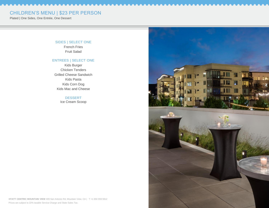# CHILDREN'S MENU | \$23 PER PERSON

Plated | One Sides, One Entrée, One Dessert

# SIDES | SELECT ONE

French Fries Fruit Salad

### ENTREES | SELECT ONE

Kids Burger Chicken Tenders Grilled Cheese Sandwich Kids Pasta Kids Corn Dog Kids Mac and Cheese

### DESSERT Ice Cream Scoop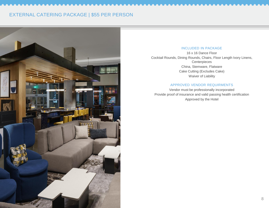# EXTERNAL CATERING PACKAGE | \$55 PER PERSON



## INCLUDED IN PACKAGE

16 x 16 Dance Floor Cocktail Rounds, Dining Rounds, Chairs, Floor Length Ivory Linens, **Centerpieces** China, Stemware, Flatware Cake Cutting (Excludes Cake) Waiver of Liability

### APPROVED VENDOR REQUIRMENTS

Vendor must be professionally incorporated Provide proof of insurance and valid passing health certification Approved by the Hotel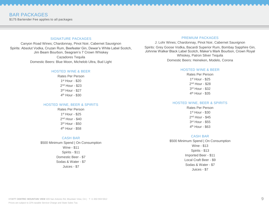# BAR PACKAGES

\$175 Bartender Fee applies to all packages

### SIGNATURE PACKAGES

Canyon Road Wines; Chardonnay, Pinot Noir, Cabernet Sauvignon Spirits: Absolut Vodka, Cruzan Rum, Beefeater Gin, Dewar's White Label Scotch, Jim Beam Bourbon, Seagram's 7 Crown Whiskey Cazadores Tequila

Domestic Beers: Blue Moon, Michelob Ultra, Bud Light

### HOSTED WINE & BEER

Rates Per Person 1 st Hour - \$20 2<sup>nd</sup> Hour - \$23 3 rd Hour - \$27 4 th Hour - \$30

### HOSTED WINE, BEER & SPIRITS

Rates Per Person 1 st Hour - \$25 2<sup>nd</sup> Hour - \$40 3 rd Hour - \$50 4<sup>th</sup> Hour - \$58

### CASH BAR

\$500 Minimum Spend | On Consumption Wine - \$11 Spirits - \$11 Domestic Beer - \$7 Sodas & Water - \$7 Juices - \$7

### PREMIUM PACKAGES

J. Lohr Wines; Chardonnay, Pinot Noir, Cabernet Sauvignon Spirits: Grey Goose Vodka, Bacardi Superior Rum, Bombay Sapphire Gin, Johnnie Walker Black Label Scotch, Maker's Mark Bourbon, Crown Royal Whiskey, Patron Silver Tequila Domestic Beers: Heineken, Modelo, Corona

### HOSTED WINE & BEER

Rates Per Person st Hour - \$25 nd Hour - \$28 rd Hour - \$32 th Hour - \$35

### HOSTED WINE, BEER & SPIRITS

Rates Per Person 1 st Hour - \$30 2<sup>nd</sup> Hour - \$45 3 rd Hour - \$55 4 th Hour - \$63

### CASH BAR

\$500 Minimum Spend | On Consumption Wine - \$13 Spirits - \$13 Imported Beer - \$11 Local Craft Beer - \$9 Sodas & Water - \$7 Juices - \$7